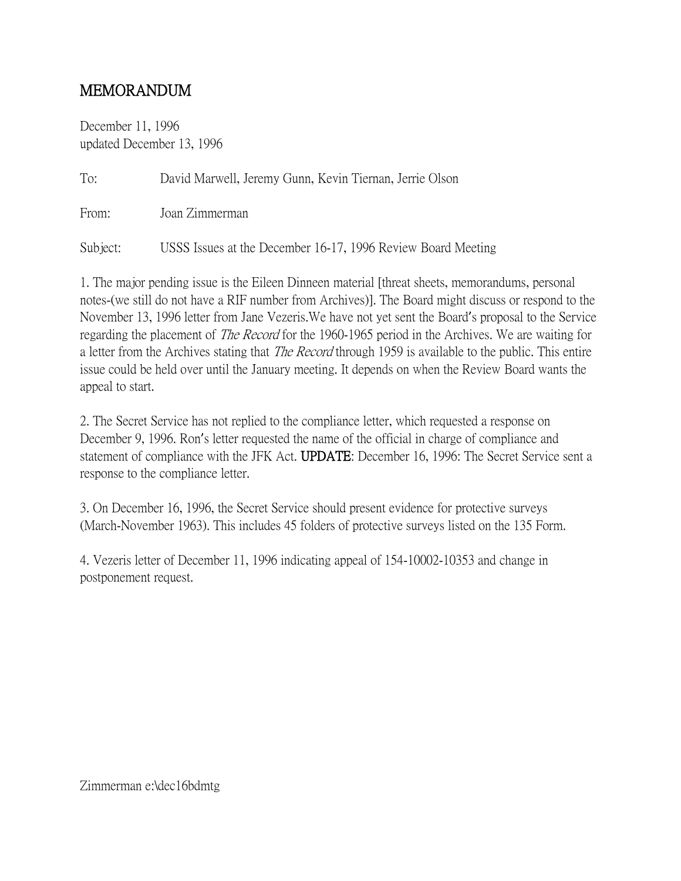## MEMORANDUM

December 11, 1996 updated December 13, 1996

| To:      | David Marwell, Jeremy Gunn, Kevin Tiernan, Jerrie Olson      |
|----------|--------------------------------------------------------------|
| From:    | Joan Zimmerman                                               |
| Subject: | USSS Issues at the December 16-17, 1996 Review Board Meeting |

1. The major pending issue is the Eileen Dinneen material [threat sheets, memorandums, personal notes-(we still do not have a RIF number from Archives)]. The Board might discuss or respond to the November 13, 1996 letter from Jane Vezeris.We have not yet sent the Board's proposal to the Service regarding the placement of *The Record* for the 1960-1965 period in the Archives. We are waiting for a letter from the Archives stating that *The Record* through 1959 is available to the public. This entire issue could be held over until the January meeting. It depends on when the Review Board wants the appeal to start.

2. The Secret Service has not replied to the compliance letter, which requested a response on December 9, 1996. Ron's letter requested the name of the official in charge of compliance and statement of compliance with the JFK Act. UPDATE: December 16, 1996: The Secret Service sent a response to the compliance letter.

3. On December 16, 1996, the Secret Service should present evidence for protective surveys (March-November 1963). This includes 45 folders of protective surveys listed on the 135 Form.

4. Vezeris letter of December 11, 1996 indicating appeal of 154-10002-10353 and change in postponement request.

Zimmerman e:\dec16bdmtg